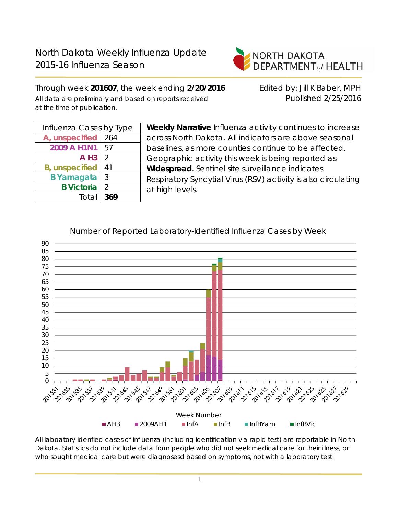

Through week **201607**, the week ending **2/20/2016** Edited by: Jill K Baber, MPH All data are preliminary and based on reports received Published 2/25/2016 at the time of publication.

| Influenza Cases by Type |     |  |  |  |  |
|-------------------------|-----|--|--|--|--|
| A, unspecified          | 264 |  |  |  |  |
| 2009 A H1N1             | 57  |  |  |  |  |
| $A$ H <sub>3</sub>      | 2   |  |  |  |  |
| <b>B</b> , unspecified  | 41  |  |  |  |  |
| <b>B</b> Yamagata       | 3   |  |  |  |  |
| <b>B</b> Victoria       | 2   |  |  |  |  |
| Total                   | 369 |  |  |  |  |
|                         |     |  |  |  |  |

**Weekly Narrative** Influenza activity continues to increase across North Dakota. All indicators are above seasonal baselines, as more counties continue to be affected. Geographic activity this week is being reported as **Widespread**. Sentinel site surveillance indicates Respiratory Syncytial Virus (RSV) activity is also circulating at high levels.



Number of Reported Laboratory-Identified Influenza Cases by Week

All laboatory-idenfied cases of influenza (including identification via rapid test) are reportable in North Dakota. Statistics do not include data from people who did not seek medical care for their illness, or who sought medical care but were diagnosesd based on symptoms, not with a laboratory test.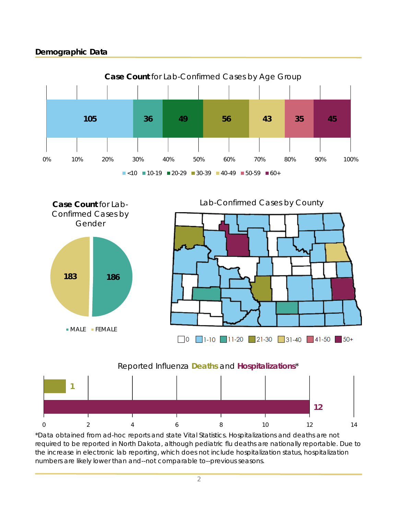# **Demographic Data**







the increase in electronic lab reporting, which does not include hospitalization status, hospitalization numbers are likely lower than and--not comparable to--previous seasons.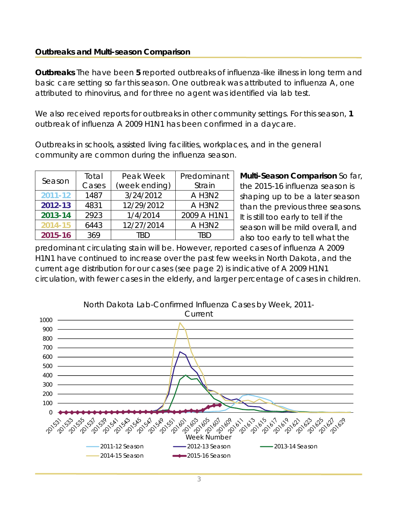### **Outbreaks and Multi-season Comparison**

**Outbreaks** The have been **5** reported outbreaks of influenza-like illness in long term and basic care setting so far this season. One outbreak was attributed to influenza A, one attributed to rhinovirus, and for three no agent was identified via lab test.

We also received reports for outbreaks in other community settings. For this season, **1** outbreak of influenza A 2009 H1N1 has been confirmed in a daycare.

Outbreaks in schools, assisted living facilities, workplaces, and in the general community are common during the influenza season.

| Season      | Total                  | Peak Week  | Predominant |  |
|-------------|------------------------|------------|-------------|--|
|             | Cases<br>(week ending) |            | Strain      |  |
| $2011 - 12$ | 1487                   | 3/24/2012  | A H3N2      |  |
| 2012-13     | 4831                   | 12/29/2012 | A H3N2      |  |
| 2013-14     | 2923                   | 1/4/2014   | 2009 A H1N1 |  |
| 2014-15     | 6443                   | 12/27/2014 | A H3N2      |  |
| 2015-16     | 369                    | TRD        | TRD         |  |

**Multi-Season Comparison** So far, the 2015-16 influenza season is shaping up to be a later season than the previous three seasons. It is still too early to tell if the season will be mild overall, and also too early to tell what the

predominant circulating stain will be. However, reported cases of influenza A 2009 H1N1 have continued to increase over the past few weeks in North Dakota, and the current age distribution for our cases (see page 2) is indicative of A 2009 H1N1 circulation, with fewer cases in the elderly, and larger percentage of cases in children.

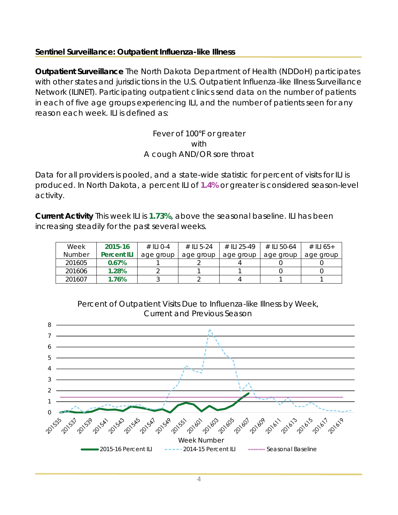### **Sentinel Surveillance: Outpatient Influenza-like Illness**

**Outpatient Surveillance** The North Dakota Department of Health (NDDoH) participates with other states and jurisdictions in the U.S. Outpatient Influenza-like Illness Surveillance Network (ILINET). Participating outpatient clinics send data on the number of patients in each of five age groups experiencing ILI, and the number of patients seen for any reason each week. ILI is defined as:

> Fever of 100°F or greater with A cough AND/OR sore throat

Data for all providers is pooled, and a state-wide statistic for percent of visits for ILI is produced. In North Dakota, a percent ILI of **1.4%** or greater is considered season-level activity.

**Current Activity** This week ILI is **1.73%**, above the seasonal baseline. ILI has been increasing steadily for the past several weeks.

| Week          | 2015-16            | $\#$ II I O-4 | # $  $ 1 5-24 | # II 1 25-49 | # II 50-64 | # ILI 65+ |
|---------------|--------------------|---------------|---------------|--------------|------------|-----------|
| <b>Number</b> | <b>Percent ILI</b> | age group     | age group     | age group    | age group  | age group |
| 201605        | 0.67%              |               |               |              |            |           |
| 201606        | 1.28%              |               |               |              |            |           |
| 201607        | 1.76%              |               |               |              |            |           |



Percent of Outpatient Visits Due to Influenza-like Illness by Week, Current and Previous Season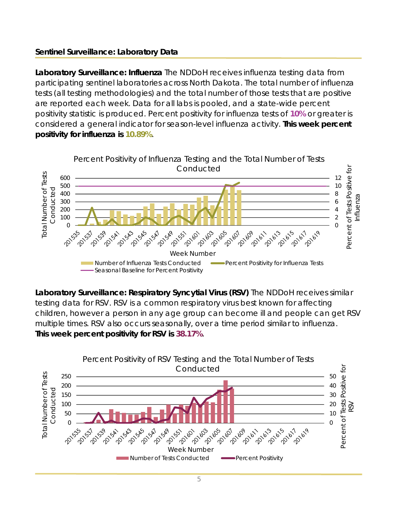# **Sentinel Surveillance: Laboratory Data**

**Laboratory Surveillance: Influenza** The NDDoH receives influenza testing data from participating sentinel laboratories across North Dakota. The total number of influenza tests (all testing methodologies) and the total number of those tests that are positive are reported each week. Data for all labs is pooled, and a state-wide percent positivity statistic is produced. Percent positivity for influenza tests of **10%** or greater is considered a general indicator for season-level influenza activity. **This week percent positivity for influenza is 10.89%**.



**Laboratory Surveillance: Respiratory Syncytial Virus (RSV)** The NDDoH receives similar testing data for RSV. RSV is a common respiratory virus best known for affecting children, however a person in any age group can become ill and people can get RSV multiple times. RSV also occurs seasonally, over a time period similar to influenza. **This week percent positivity for RSV is 38.17%**.

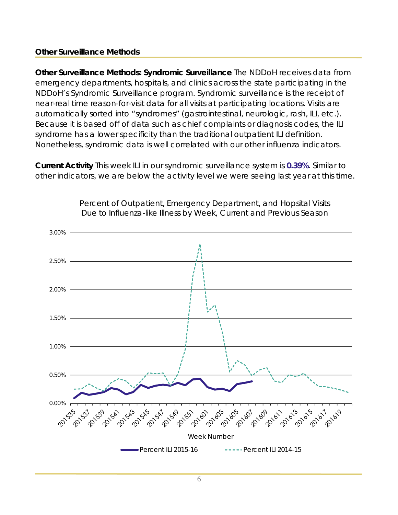#### **Other Surveillance Methods**

**Other Surveillance Methods: Syndromic Surveillance** The NDDoH receives data from emergency departments, hospitals, and clinics across the state participating in the NDDoH's Syndromic Surveillance program. Syndromic surveillance is the receipt of near-real time reason-for-visit data for all visits at participating locations. Visits are automatically sorted into "syndromes" (gastrointestinal, neurologic, rash, ILI, etc.). Because it is based off of data such as chief complaints or diagnosis codes, the ILI syndrome has a lower specificity than the traditional outpatient ILI definition. Nonetheless, syndromic data is well correlated with our other influenza indicators.

**Current Activity** This week ILI in our syndromic surveillance system is **0.39%**. Similar to other indicators, we are below the activity level we were seeing last year at this time.



Percent of Outpatient, Emergency Department, and Hopsital Visits Due to Influenza-like Illness by Week, Current and Previous Season